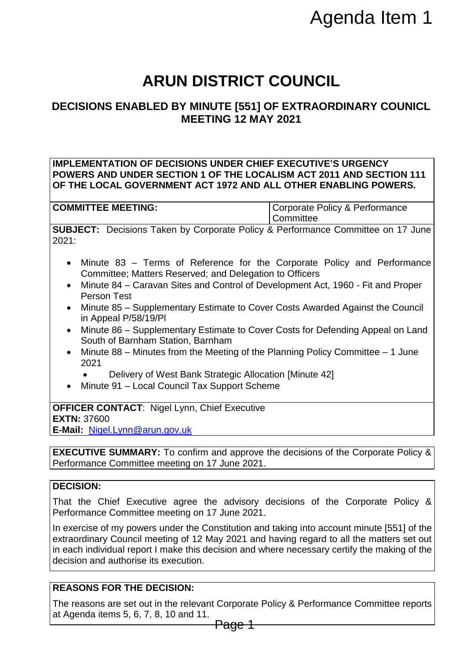# **ARUN DISTRICT COUNCIL**

## **DECISIONS ENABLED BY MINUTE [551] OF EXTRAORDINARY COUNICL MEETING 12 MAY 2021**

#### **IMPLEMENTATION OF DECISIONS UNDER CHIEF EXECUTIVE'S URGENCY POWERS AND UNDER SECTION 1 OF THE LOCALISM ACT 2011 AND SECTION 111 OF THE LOCAL GOVERNMENT ACT 1972 AND ALL OTHER ENABLING POWERS.**

**COMMITTEE MEETING:** COMMITTEE **MEETING: Committee** 

**SUBJECT:** Decisions Taken by Corporate Policy & Performance Committee on 17 June 2021:

- Minute 83 Terms of Reference for the Corporate Policy and Performance Committee; Matters Reserved; and Delegation to Officers
- Minute 84 Caravan Sites and Control of Development Act, 1960 Fit and Proper Person Test
- Minute 85 Supplementary Estimate to Cover Costs Awarded Against the Council in Appeal P/58/19/Pl
- Minute 86 Supplementary Estimate to Cover Costs for Defending Appeal on Land South of Barnham Station, Barnham
- Minute 88 Minutes from the Meeting of the Planning Policy Committee 1 June 2021
	- Delivery of West Bank Strategic Allocation [Minute 42]
- Minute 91 Local Council Tax Support Scheme

**OFFICER CONTACT**: Nigel Lynn, Chief Executive **EXTN:** 37600

**E-Mail:** [Nigel.Lynn@arun.gov.uk](mailto:Nigel.Lynn@arun.gov.uk)

**EXECUTIVE SUMMARY:** To confirm and approve the decisions of the Corporate Policy & Performance Committee meeting on 17 June 2021.

#### **DECISION:**

That the Chief Executive agree the advisory decisions of the Corporate Policy & Performance Committee meeting on 17 June 2021.

In exercise of my powers under the Constitution and taking into account minute [551] of the extraordinary Council meeting of 12 May 2021 and having regard to all the matters set out in each individual report I make this decision and where necessary certify the making of the decision and authorise its execution. **EXECUTE: Algenda Item 1**<br> **EXECUTE ITS AGAGE THE STAND INCRED THE [551] OF EXTRAORDINARY COUNICL<br>
NOER CHIEF EXECUTIVE'S URGENCY<br>
INDER CHIEF EXECUTIVE'S URGENCY<br>
INDER CHIEF EXECUTIVE'S URGENCY<br>
ISPER AND ALL OTHER ENABL** 

### **REASONS FOR THE DECISION:**

The reasons are set out in the relevant Corporate Policy & Performance Committee reports at Agenda items 5, 6, 7, 8, 10 and 11.